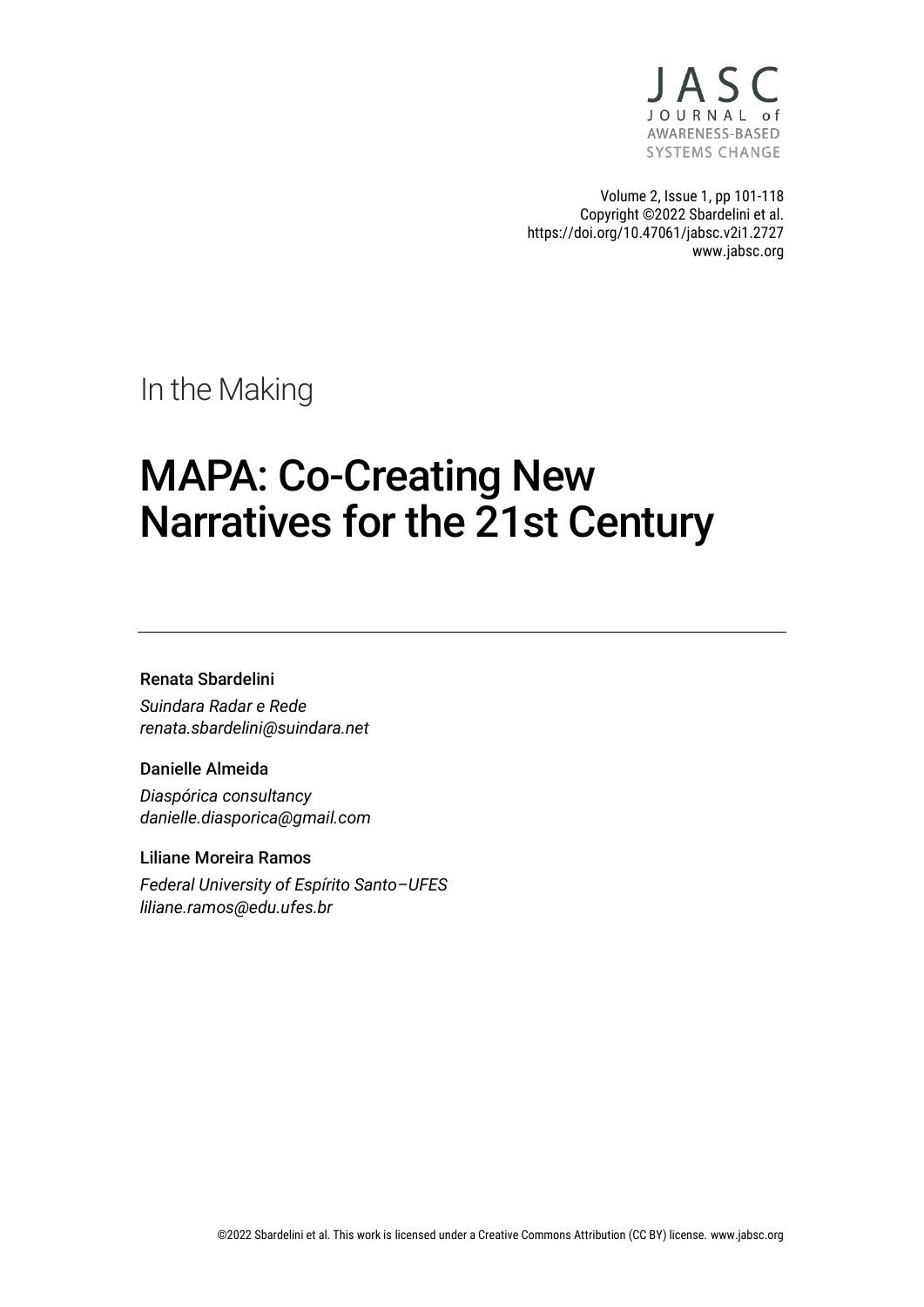

Volume 2, Issue 1, pp 101-118 Copyright ©2022 Sbardelini et al. https://doi.org/10.47061/jabsc.v2i1.2727 www.jabsc.org

In the Making

# MAPA: Co-Creating New Narratives for the 21st Century

#### Renata Sbardelini

*Suindara Radar e Rede renata.sbardelini@suindara.net*

#### Danielle Almeida

*Diaspórica consultancy danielle.diasporica@gmail.com*

#### Liliane Moreira Ramos

*Federal University of Espírito Santo–UFES liliane.ramos@edu.ufes.br*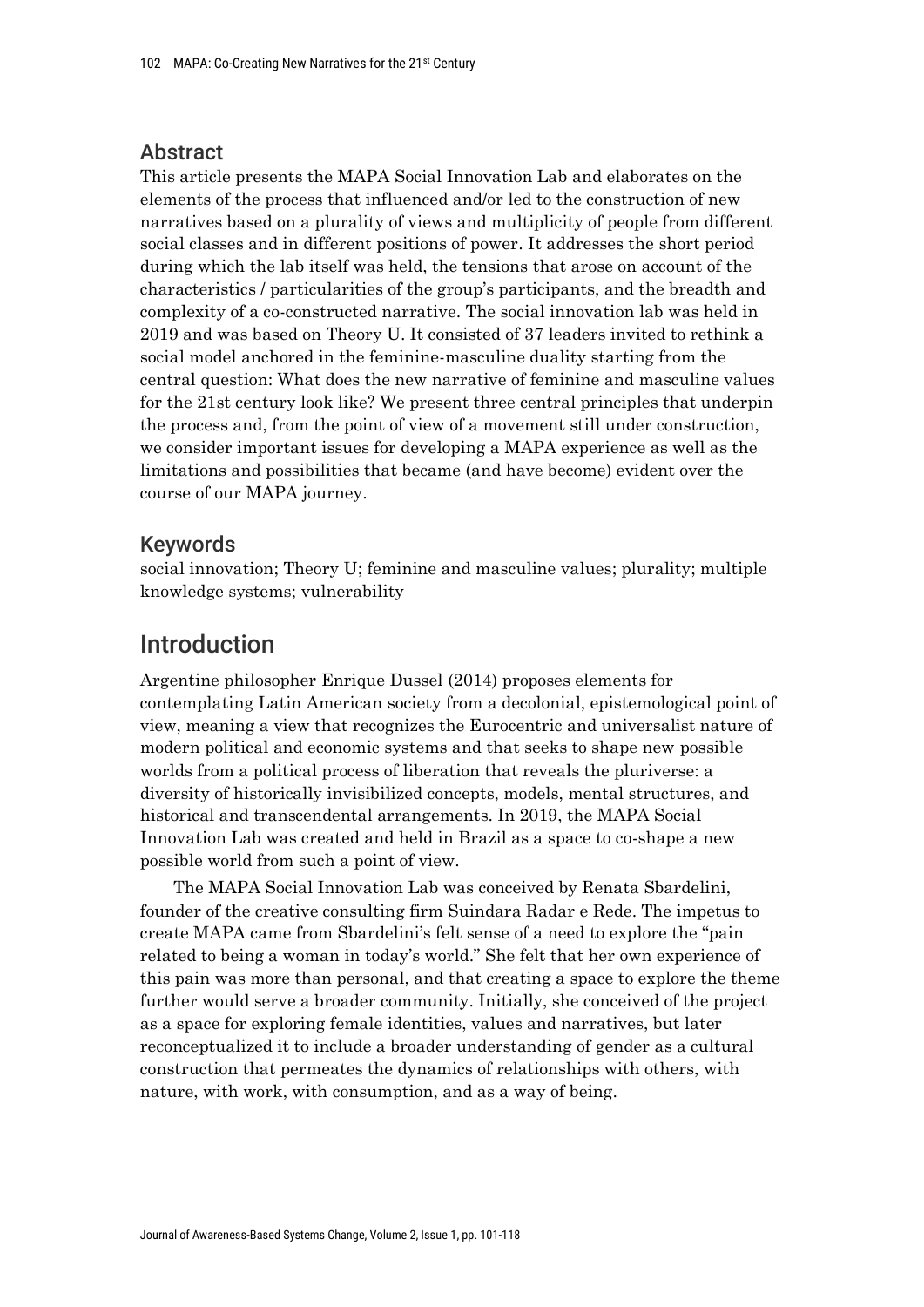## Abstract

This article presents the MAPA Social Innovation Lab and elaborates on the elements of the process that influenced and/or led to the construction of new narratives based on a plurality of views and multiplicity of people from different social classes and in different positions of power. It addresses the short period during which the lab itself was held, the tensions that arose on account of the characteristics / particularities of the group's participants, and the breadth and complexity of a co-constructed narrative. The social innovation lab was held in 2019 and was based on Theory U. It consisted of 37 leaders invited to rethink a social model anchored in the feminine-masculine duality starting from the central question: What does the new narrative of feminine and masculine values for the 21st century look like? We present three central principles that underpin the process and, from the point of view of a movement still under construction, we consider important issues for developing a MAPA experience as well as the limitations and possibilities that became (and have become) evident over the course of our MAPA journey.

## Keywords

social innovation; Theory U; feminine and masculine values; plurality; multiple knowledge systems; vulnerability

## Introduction

Argentine philosopher Enrique Dussel (2014) proposes elements for contemplating Latin American society from a decolonial, epistemological point of view, meaning a view that recognizes the Eurocentric and universalist nature of modern political and economic systems and that seeks to shape new possible worlds from a political process of liberation that reveals the pluriverse: a diversity of historically invisibilized concepts, models, mental structures, and historical and transcendental arrangements. In 2019, the MAPA Social Innovation Lab was created and held in Brazil as a space to co-shape a new possible world from such a point of view.

The MAPA Social Innovation Lab was conceived by Renata Sbardelini, founder of the creative consulting firm Suindara Radar e Rede. The impetus to create MAPA came from Sbardelini's felt sense of a need to explore the "pain related to being a woman in today's world." She felt that her own experience of this pain was more than personal, and that creating a space to explore the theme further would serve a broader community. Initially, she conceived of the project as a space for exploring female identities, values and narratives, but later reconceptualized it to include a broader understanding of gender as a cultural construction that permeates the dynamics of relationships with others, with nature, with work, with consumption, and as a way of being.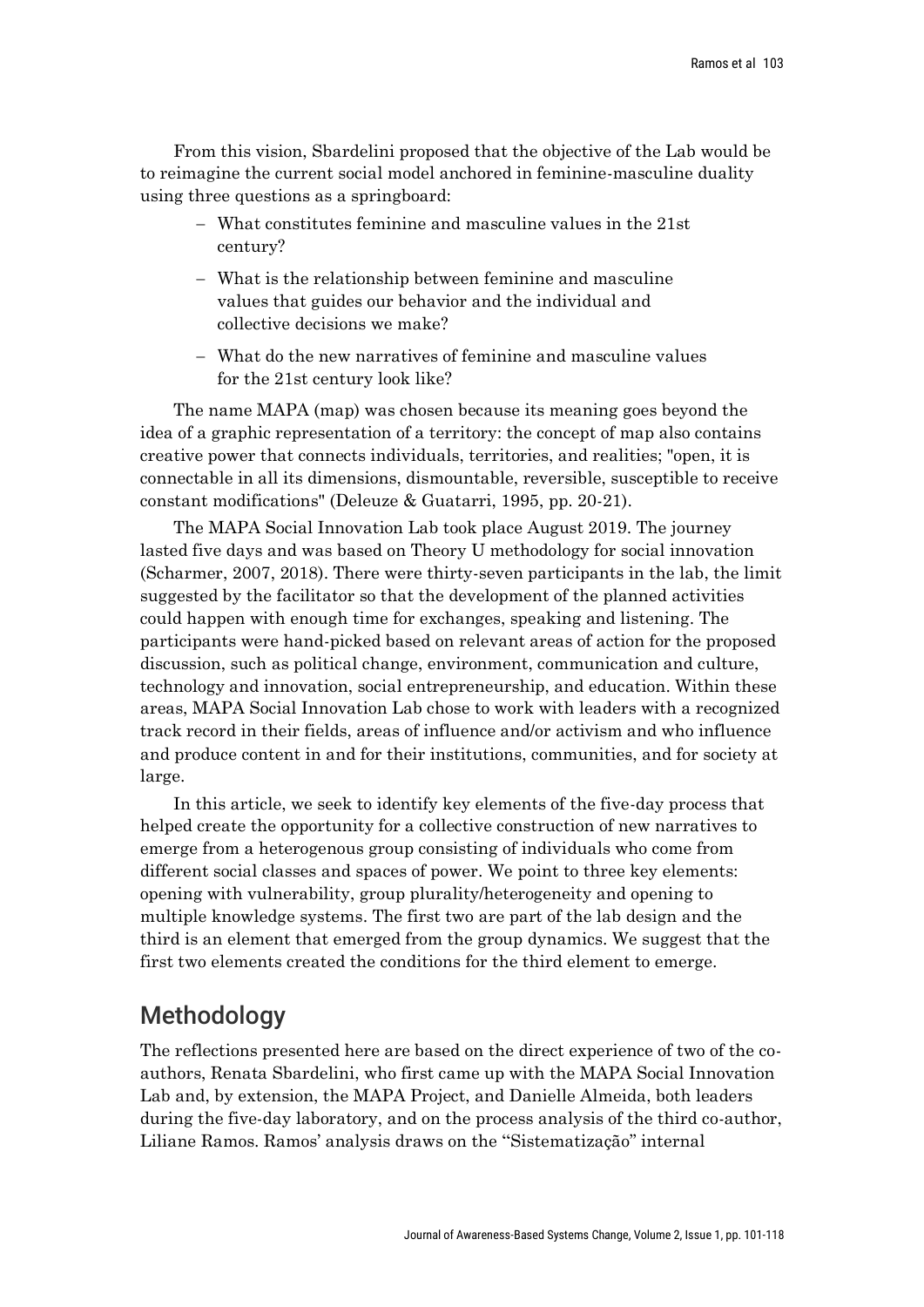From this vision, Sbardelini proposed that the objective of the Lab would be to reimagine the current social model anchored in feminine-masculine duality using three questions as a springboard:

- − What constitutes feminine and masculine values in the 21st century?
- − What is the relationship between feminine and masculine values that guides our behavior and the individual and collective decisions we make?
- − What do the new narratives of feminine and masculine values for the 21st century look like?

The name MAPA (map) was chosen because its meaning goes beyond the idea of a graphic representation of a territory: the concept of map also contains creative power that connects individuals, territories, and realities; "open, it is connectable in all its dimensions, dismountable, reversible, susceptible to receive constant modifications" (Deleuze & Guatarri, 1995, pp. 20-21).

The MAPA Social Innovation Lab took place August 2019. The journey lasted five days and was based on Theory U methodology for social innovation (Scharmer, 2007, 2018). There were thirty-seven participants in the lab, the limit suggested by the facilitator so that the development of the planned activities could happen with enough time for exchanges, speaking and listening. The participants were hand-picked based on relevant areas of action for the proposed discussion, such as political change, environment, communication and culture, technology and innovation, social entrepreneurship, and education. Within these areas, MAPA Social Innovation Lab chose to work with leaders with a recognized track record in their fields, areas of influence and/or activism and who influence and produce content in and for their institutions, communities, and for society at large.

In this article, we seek to identify key elements of the five-day process that helped create the opportunity for a collective construction of new narratives to emerge from a heterogenous group consisting of individuals who come from different social classes and spaces of power. We point to three key elements: opening with vulnerability, group plurality/heterogeneity and opening to multiple knowledge systems. The first two are part of the lab design and the third is an element that emerged from the group dynamics. We suggest that the first two elements created the conditions for the third element to emerge.

## Methodology

The reflections presented here are based on the direct experience of two of the coauthors, Renata Sbardelini, who first came up with the MAPA Social Innovation Lab and, by extension, the MAPA Project, and Danielle Almeida, both leaders during the five-day laboratory, and on the process analysis of the third co-author, Liliane Ramos. Ramos' analysis draws on the "Sistematização" internal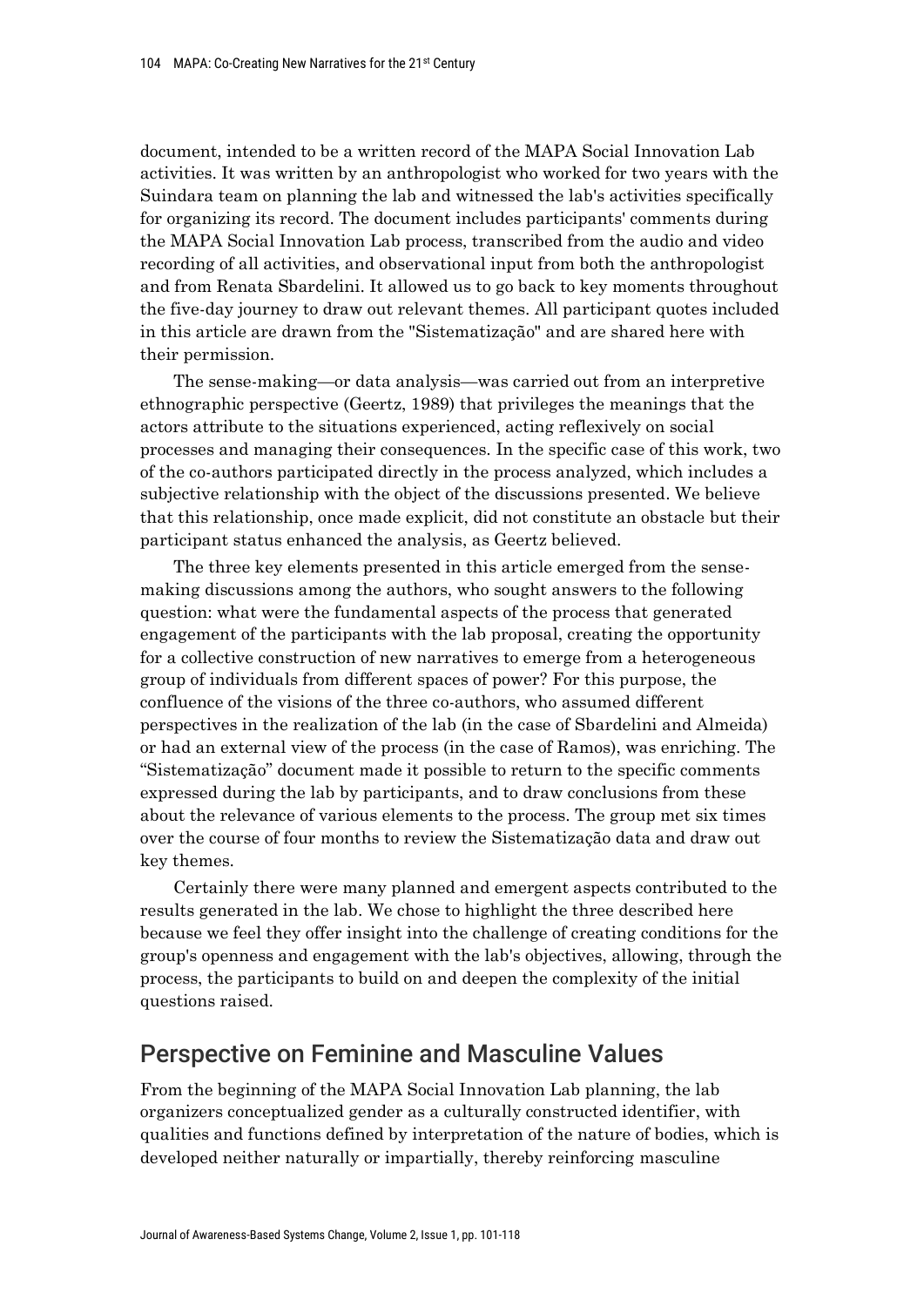document, intended to be a written record of the MAPA Social Innovation Lab activities. It was written by an anthropologist who worked for two years with the Suindara team on planning the lab and witnessed the lab's activities specifically for organizing its record. The document includes participants' comments during the MAPA Social Innovation Lab process, transcribed from the audio and video recording of all activities, and observational input from both the anthropologist and from Renata Sbardelini. It allowed us to go back to key moments throughout the five-day journey to draw out relevant themes. All participant quotes included in this article are drawn from the "Sistematização" and are shared here with their permission.

The sense-making—or data analysis—was carried out from an interpretive ethnographic perspective (Geertz, 1989) that privileges the meanings that the actors attribute to the situations experienced, acting reflexively on social processes and managing their consequences. In the specific case of this work, two of the co-authors participated directly in the process analyzed, which includes a subjective relationship with the object of the discussions presented. We believe that this relationship, once made explicit, did not constitute an obstacle but their participant status enhanced the analysis, as Geertz believed.

The three key elements presented in this article emerged from the sensemaking discussions among the authors, who sought answers to the following question: what were the fundamental aspects of the process that generated engagement of the participants with the lab proposal, creating the opportunity for a collective construction of new narratives to emerge from a heterogeneous group of individuals from different spaces of power? For this purpose, the confluence of the visions of the three co-authors, who assumed different perspectives in the realization of the lab (in the case of Sbardelini and Almeida) or had an external view of the process (in the case of Ramos), was enriching. The "Sistematização" document made it possible to return to the specific comments expressed during the lab by participants, and to draw conclusions from these about the relevance of various elements to the process. The group met six times over the course of four months to review the Sistematização data and draw out key themes.

Certainly there were many planned and emergent aspects contributed to the results generated in the lab. We chose to highlight the three described here because we feel they offer insight into the challenge of creating conditions for the group's openness and engagement with the lab's objectives, allowing, through the process, the participants to build on and deepen the complexity of the initial questions raised.

## Perspective on Feminine and Masculine Values

From the beginning of the MAPA Social Innovation Lab planning, the lab organizers conceptualized gender as a culturally constructed identifier, with qualities and functions defined by interpretation of the nature of bodies, which is developed neither naturally or impartially, thereby reinforcing masculine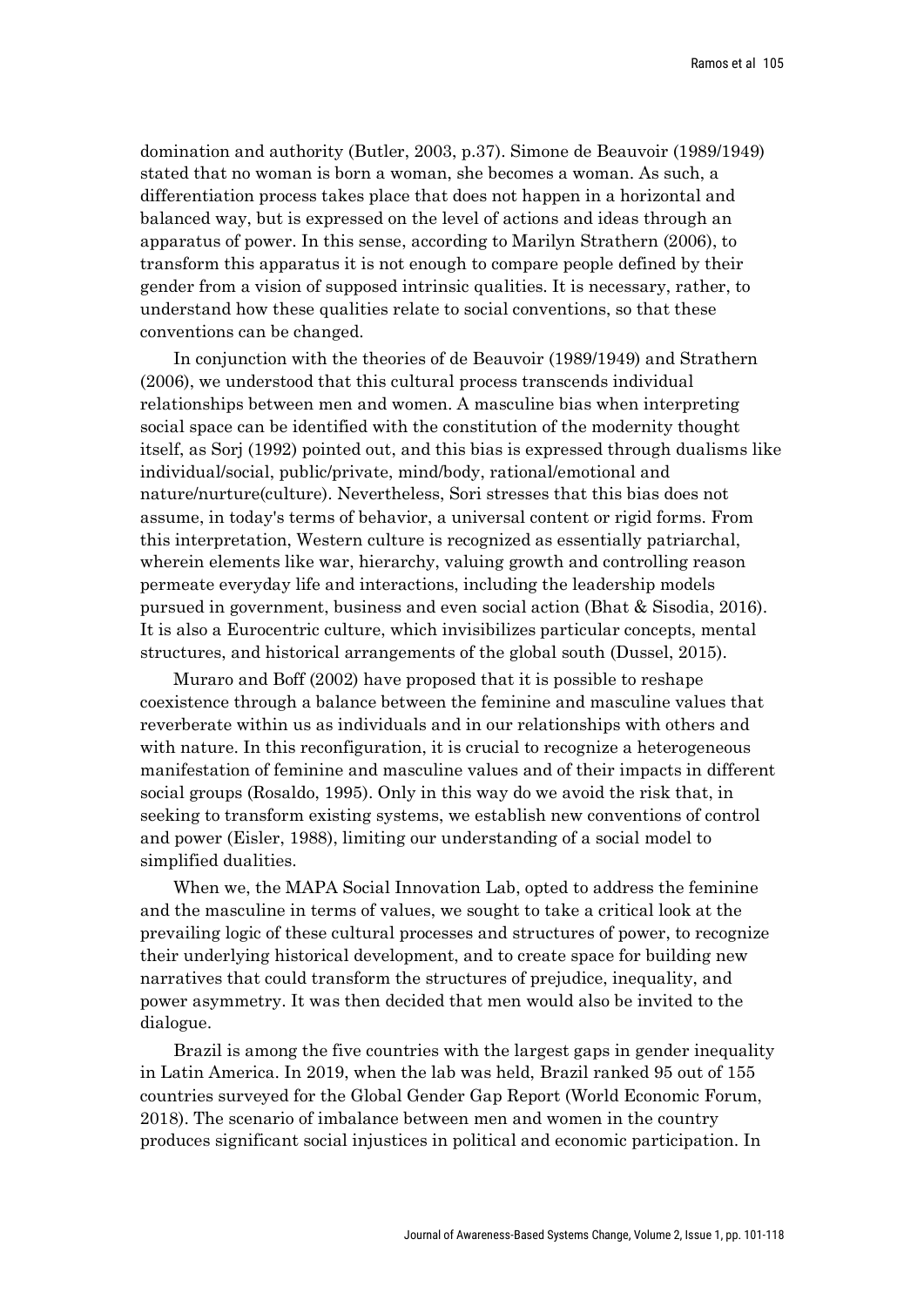domination and authority (Butler, 2003, p.37). Simone de Beauvoir (1989/1949) stated that no woman is born a woman, she becomes a woman. As such, a differentiation process takes place that does not happen in a horizontal and balanced way, but is expressed on the level of actions and ideas through an apparatus of power. In this sense, according to Marilyn Strathern (2006), to transform this apparatus it is not enough to compare people defined by their gender from a vision of supposed intrinsic qualities. It is necessary, rather, to understand how these qualities relate to social conventions, so that these conventions can be changed.

In conjunction with the theories of de Beauvoir (1989/1949) and Strathern (2006), we understood that this cultural process transcends individual relationships between men and women. A masculine bias when interpreting social space can be identified with the constitution of the modernity thought itself, as Sorj (1992) pointed out, and this bias is expressed through dualisms like individual/social, public/private, mind/body, rational/emotional and nature/nurture(culture). Nevertheless, Sori stresses that this bias does not assume, in today's terms of behavior, a universal content or rigid forms. From this interpretation, Western culture is recognized as essentially patriarchal, wherein elements like war, hierarchy, valuing growth and controlling reason permeate everyday life and interactions, including the leadership models pursued in government, business and even social action (Bhat & Sisodia, 2016). It is also a Eurocentric culture, which invisibilizes particular concepts, mental structures, and historical arrangements of the global south (Dussel, 2015).

Muraro and Boff (2002) have proposed that it is possible to reshape coexistence through a balance between the feminine and masculine values that reverberate within us as individuals and in our relationships with others and with nature. In this reconfiguration, it is crucial to recognize a heterogeneous manifestation of feminine and masculine values and of their impacts in different social groups (Rosaldo, 1995). Only in this way do we avoid the risk that, in seeking to transform existing systems, we establish new conventions of control and power (Eisler, 1988), limiting our understanding of a social model to simplified dualities.

When we, the MAPA Social Innovation Lab, opted to address the feminine and the masculine in terms of values, we sought to take a critical look at the prevailing logic of these cultural processes and structures of power, to recognize their underlying historical development, and to create space for building new narratives that could transform the structures of prejudice, inequality, and power asymmetry. It was then decided that men would also be invited to the dialogue.

Brazil is among the five countries with the largest gaps in gender inequality in Latin America. In 2019, when the lab was held, Brazil ranked 95 out of 155 countries surveyed for the Global Gender Gap Report (World Economic Forum, 2018). The scenario of imbalance between men and women in the country produces significant social injustices in political and economic participation. In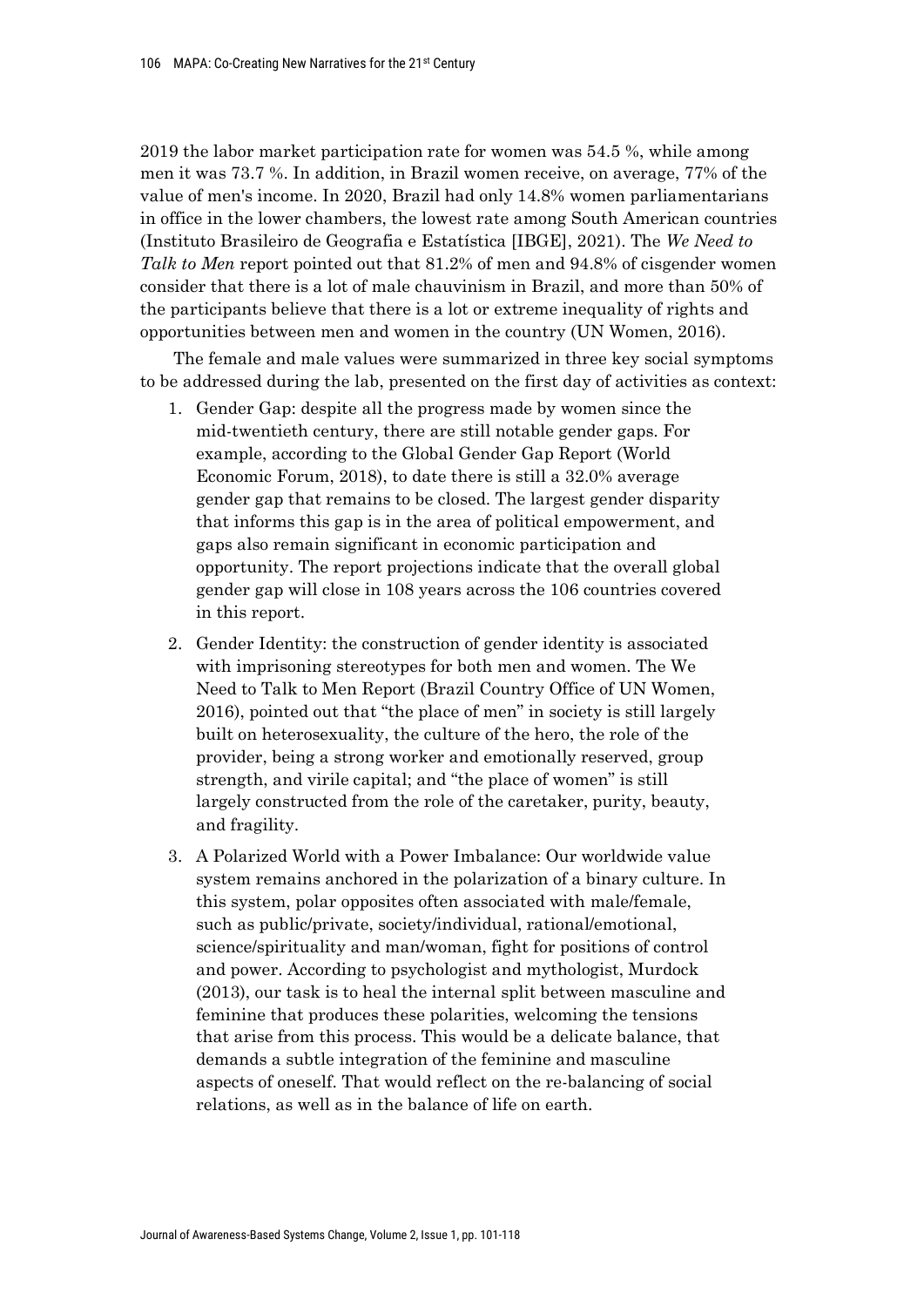2019 the labor market participation rate for women was 54.5 %, while among men it was 73.7 %. In addition, in Brazil women receive, on average, 77% of the value of men's income. In 2020, Brazil had only 14.8% women parliamentarians in office in the lower chambers, the lowest rate among South American countries (Instituto Brasileiro de Geografia e Estatística [IBGE], 2021). The *We Need to Talk to Men* report pointed out that 81.2% of men and 94.8% of cisgender women consider that there is a lot of male chauvinism in Brazil, and more than 50% of the participants believe that there is a lot or extreme inequality of rights and opportunities between men and women in the country (UN Women, 2016).

The female and male values were summarized in three key social symptoms to be addressed during the lab, presented on the first day of activities as context:

- 1. Gender Gap: despite all the progress made by women since the mid-twentieth century, there are still notable gender gaps. For example, according to the Global Gender Gap Report (World Economic Forum, 2018), to date there is still a 32.0% average gender gap that remains to be closed. The largest gender disparity that informs this gap is in the area of political empowerment, and gaps also remain significant in economic participation and opportunity. The report projections indicate that the overall global gender gap will close in 108 years across the 106 countries covered in this report.
- 2. Gender Identity: the construction of gender identity is associated with imprisoning stereotypes for both men and women. The We Need to Talk to Men Report (Brazil Country Office of UN Women, 2016), pointed out that "the place of men" in society is still largely built on heterosexuality, the culture of the hero, the role of the provider, being a strong worker and emotionally reserved, group strength, and virile capital; and "the place of women" is still largely constructed from the role of the caretaker, purity, beauty, and fragility.
- 3. A Polarized World with a Power Imbalance: Our worldwide value system remains anchored in the polarization of a binary culture. In this system, polar opposites often associated with male/female, such as public/private, society/individual, rational/emotional, science/spirituality and man/woman, fight for positions of control and power. According to psychologist and mythologist, Murdock (2013), our task is to heal the internal split between masculine and feminine that produces these polarities, welcoming the tensions that arise from this process. This would be a delicate balance, that demands a subtle integration of the feminine and masculine aspects of oneself. That would reflect on the re-balancing of social relations, as well as in the balance of life on earth.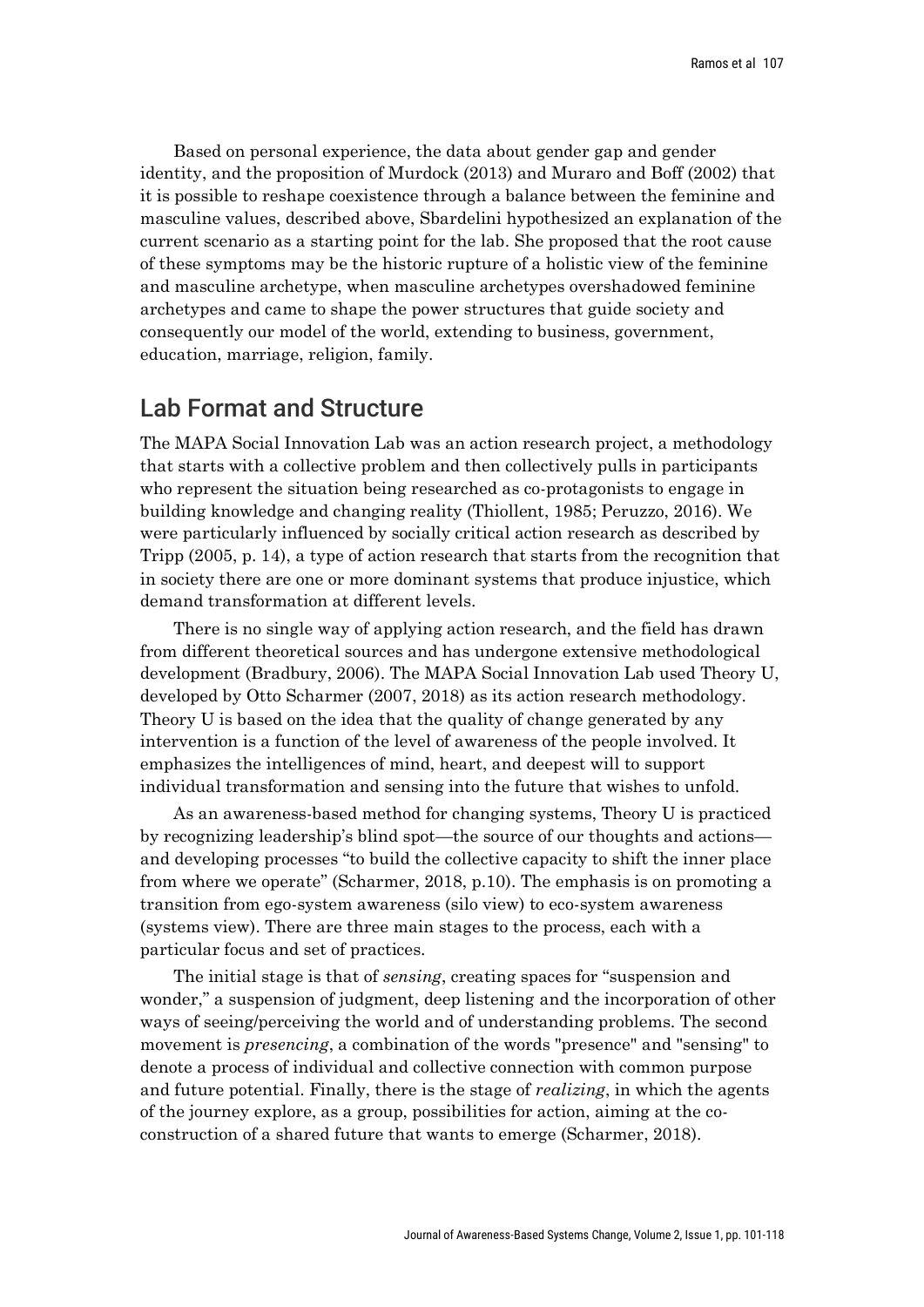Based on personal experience, the data about gender gap and gender identity, and the proposition of Murdock (2013) and Muraro and Boff (2002) that it is possible to reshape coexistence through a balance between the feminine and masculine values, described above, Sbardelini hypothesized an explanation of the current scenario as a starting point for the lab. She proposed that the root cause of these symptoms may be the historic rupture of a holistic view of the feminine and masculine archetype, when masculine archetypes overshadowed feminine archetypes and came to shape the power structures that guide society and consequently our model of the world, extending to business, government, education, marriage, religion, family.

## Lab Format and Structure

The MAPA Social Innovation Lab was an action research project, a methodology that starts with a collective problem and then collectively pulls in participants who represent the situation being researched as co-protagonists to engage in building knowledge and changing reality (Thiollent, 1985; Peruzzo, 2016). We were particularly influenced by socially critical action research as described by Tripp (2005, p. 14), a type of action research that starts from the recognition that in society there are one or more dominant systems that produce injustice, which demand transformation at different levels.

There is no single way of applying action research, and the field has drawn from different theoretical sources and has undergone extensive methodological development (Bradbury, 2006). The MAPA Social Innovation Lab used Theory U, developed by Otto Scharmer (2007, 2018) as its action research methodology. Theory U is based on the idea that the quality of change generated by any intervention is a function of the level of awareness of the people involved. It emphasizes the intelligences of mind, heart, and deepest will to support individual transformation and sensing into the future that wishes to unfold.

As an awareness-based method for changing systems, Theory U is practiced by recognizing leadership's blind spot—the source of our thoughts and actions and developing processes "to build the collective capacity to shift the inner place from where we operate" (Scharmer, 2018, p.10). The emphasis is on promoting a transition from ego-system awareness (silo view) to eco-system awareness (systems view). There are three main stages to the process, each with a particular focus and set of practices.

The initial stage is that of *sensing*, creating spaces for "suspension and wonder," a suspension of judgment, deep listening and the incorporation of other ways of seeing/perceiving the world and of understanding problems. The second movement is *presencing*, a combination of the words "presence" and "sensing" to denote a process of individual and collective connection with common purpose and future potential. Finally, there is the stage of *realizing*, in which the agents of the journey explore, as a group, possibilities for action, aiming at the coconstruction of a shared future that wants to emerge (Scharmer, 2018).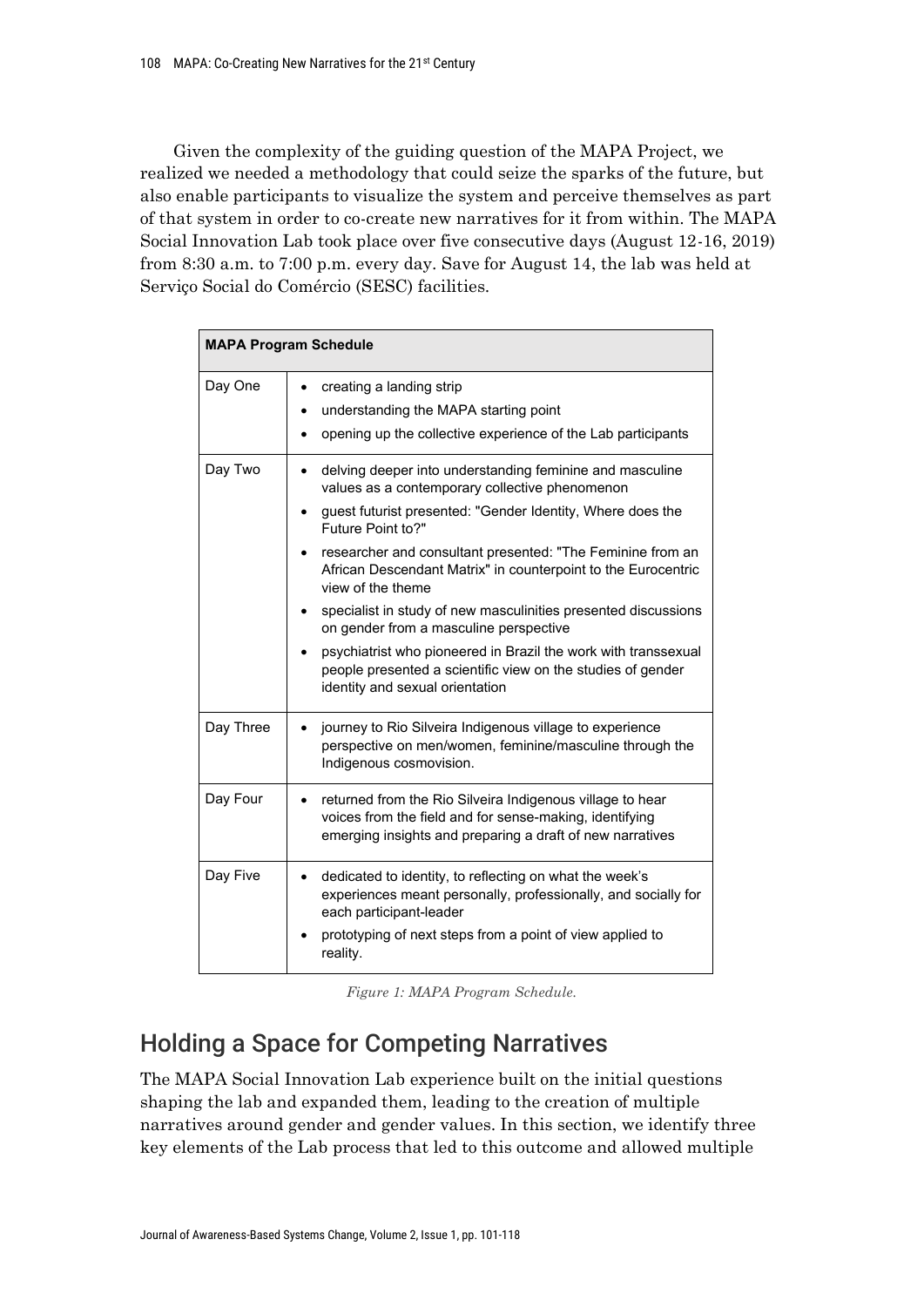Given the complexity of the guiding question of the MAPA Project, we realized we needed a methodology that could seize the sparks of the future, but also enable participants to visualize the system and perceive themselves as part of that system in order to co-create new narratives for it from within. The MAPA Social Innovation Lab took place over five consecutive days (August 12-16, 2019) from 8:30 a.m. to 7:00 p.m. every day. Save for August 14, the lab was held at Serviço Social do Comércio (SESC) facilities.

| <b>MAPA Program Schedule</b> |                                                                                                                                                                                                                                                                                                                                                                                                                                                                                                                                                                                                                                        |
|------------------------------|----------------------------------------------------------------------------------------------------------------------------------------------------------------------------------------------------------------------------------------------------------------------------------------------------------------------------------------------------------------------------------------------------------------------------------------------------------------------------------------------------------------------------------------------------------------------------------------------------------------------------------------|
| Day One                      | creating a landing strip<br>$\bullet$<br>understanding the MAPA starting point<br>opening up the collective experience of the Lab participants                                                                                                                                                                                                                                                                                                                                                                                                                                                                                         |
| Day Two                      | delving deeper into understanding feminine and masculine<br>٠<br>values as a contemporary collective phenomenon<br>guest futurist presented: "Gender Identity, Where does the<br>Future Point to?"<br>researcher and consultant presented: "The Feminine from an<br>African Descendant Matrix" in counterpoint to the Eurocentric<br>view of the theme<br>specialist in study of new masculinities presented discussions<br>on gender from a masculine perspective<br>psychiatrist who pioneered in Brazil the work with transsexual<br>people presented a scientific view on the studies of gender<br>identity and sexual orientation |
| Day Three                    | journey to Rio Silveira Indigenous village to experience<br>perspective on men/women, feminine/masculine through the<br>Indigenous cosmovision.                                                                                                                                                                                                                                                                                                                                                                                                                                                                                        |
| Day Four                     | returned from the Rio Silveira Indigenous village to hear<br>$\bullet$<br>voices from the field and for sense-making, identifying<br>emerging insights and preparing a draft of new narratives                                                                                                                                                                                                                                                                                                                                                                                                                                         |
| Day Five                     | dedicated to identity, to reflecting on what the week's<br>experiences meant personally, professionally, and socially for<br>each participant-leader<br>prototyping of next steps from a point of view applied to<br>reality.                                                                                                                                                                                                                                                                                                                                                                                                          |

*Figure 1: MAPA Program Schedule.*

# Holding a Space for Competing Narratives

The MAPA Social Innovation Lab experience built on the initial questions shaping the lab and expanded them, leading to the creation of multiple narratives around gender and gender values. In this section, we identify three key elements of the Lab process that led to this outcome and allowed multiple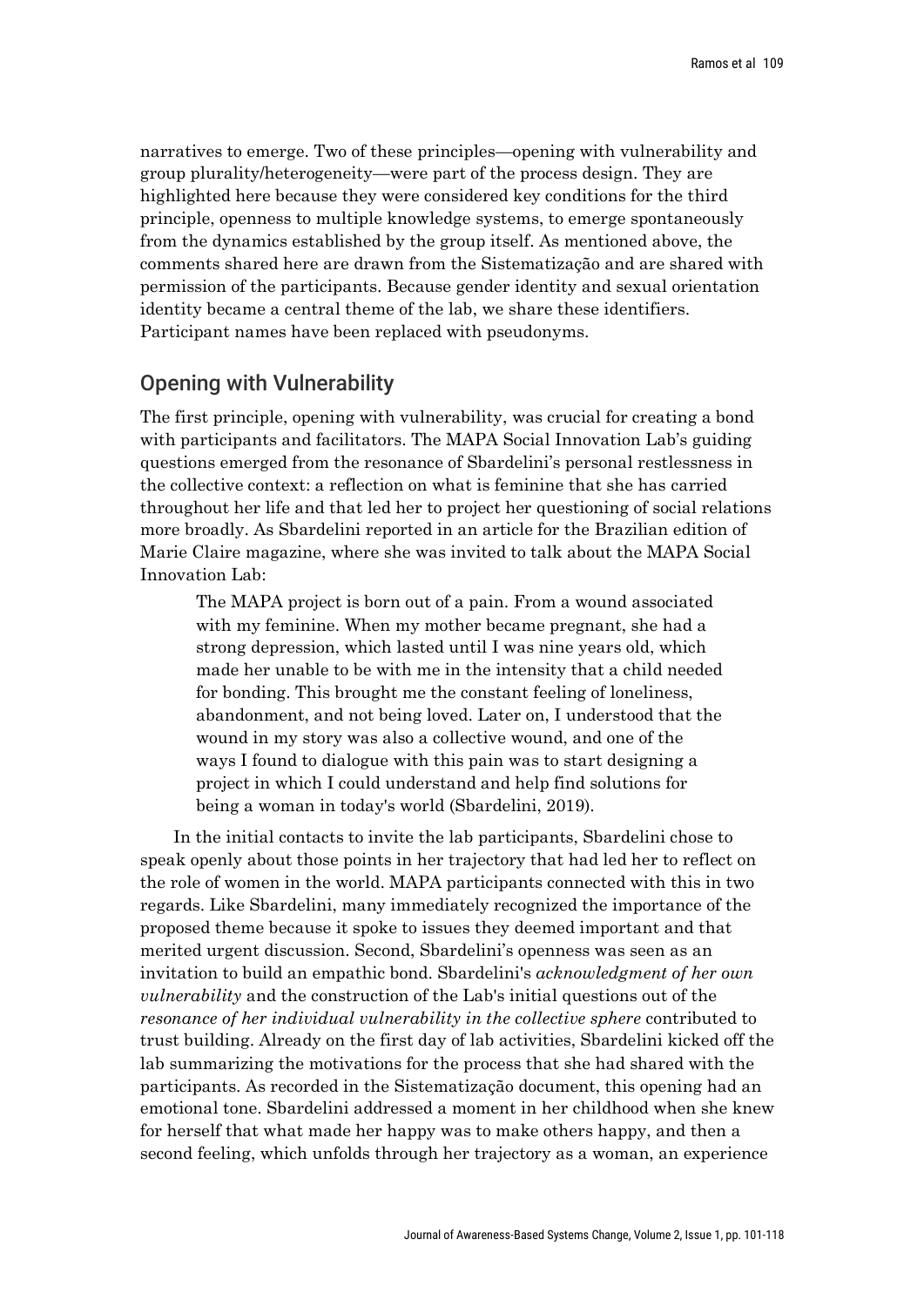narratives to emerge. Two of these principles—opening with vulnerability and group plurality/heterogeneity—were part of the process design. They are highlighted here because they were considered key conditions for the third principle, openness to multiple knowledge systems, to emerge spontaneously from the dynamics established by the group itself. As mentioned above, the comments shared here are drawn from the Sistematização and are shared with permission of the participants. Because gender identity and sexual orientation identity became a central theme of the lab, we share these identifiers. Participant names have been replaced with pseudonyms.

### Opening with Vulnerability

The first principle, opening with vulnerability, was crucial for creating a bond with participants and facilitators. The MAPA Social Innovation Lab's guiding questions emerged from the resonance of Sbardelini's personal restlessness in the collective context: a reflection on what is feminine that she has carried throughout her life and that led her to project her questioning of social relations more broadly. As Sbardelini reported in an article for the Brazilian edition of Marie Claire magazine, where she was invited to talk about the MAPA Social Innovation Lab:

The MAPA project is born out of a pain. From a wound associated with my feminine. When my mother became pregnant, she had a strong depression, which lasted until I was nine years old, which made her unable to be with me in the intensity that a child needed for bonding. This brought me the constant feeling of loneliness, abandonment, and not being loved. Later on, I understood that the wound in my story was also a collective wound, and one of the ways I found to dialogue with this pain was to start designing a project in which I could understand and help find solutions for being a woman in today's world (Sbardelini, 2019).

In the initial contacts to invite the lab participants, Sbardelini chose to speak openly about those points in her trajectory that had led her to reflect on the role of women in the world. MAPA participants connected with this in two regards. Like Sbardelini, many immediately recognized the importance of the proposed theme because it spoke to issues they deemed important and that merited urgent discussion. Second, Sbardelini's openness was seen as an invitation to build an empathic bond. Sbardelini's *acknowledgment of her own vulnerability* and the construction of the Lab's initial questions out of the *resonance of her individual vulnerability in the collective sphere* contributed to trust building. Already on the first day of lab activities, Sbardelini kicked off the lab summarizing the motivations for the process that she had shared with the participants. As recorded in the Sistematização document, this opening had an emotional tone. Sbardelini addressed a moment in her childhood when she knew for herself that what made her happy was to make others happy, and then a second feeling, which unfolds through her trajectory as a woman, an experience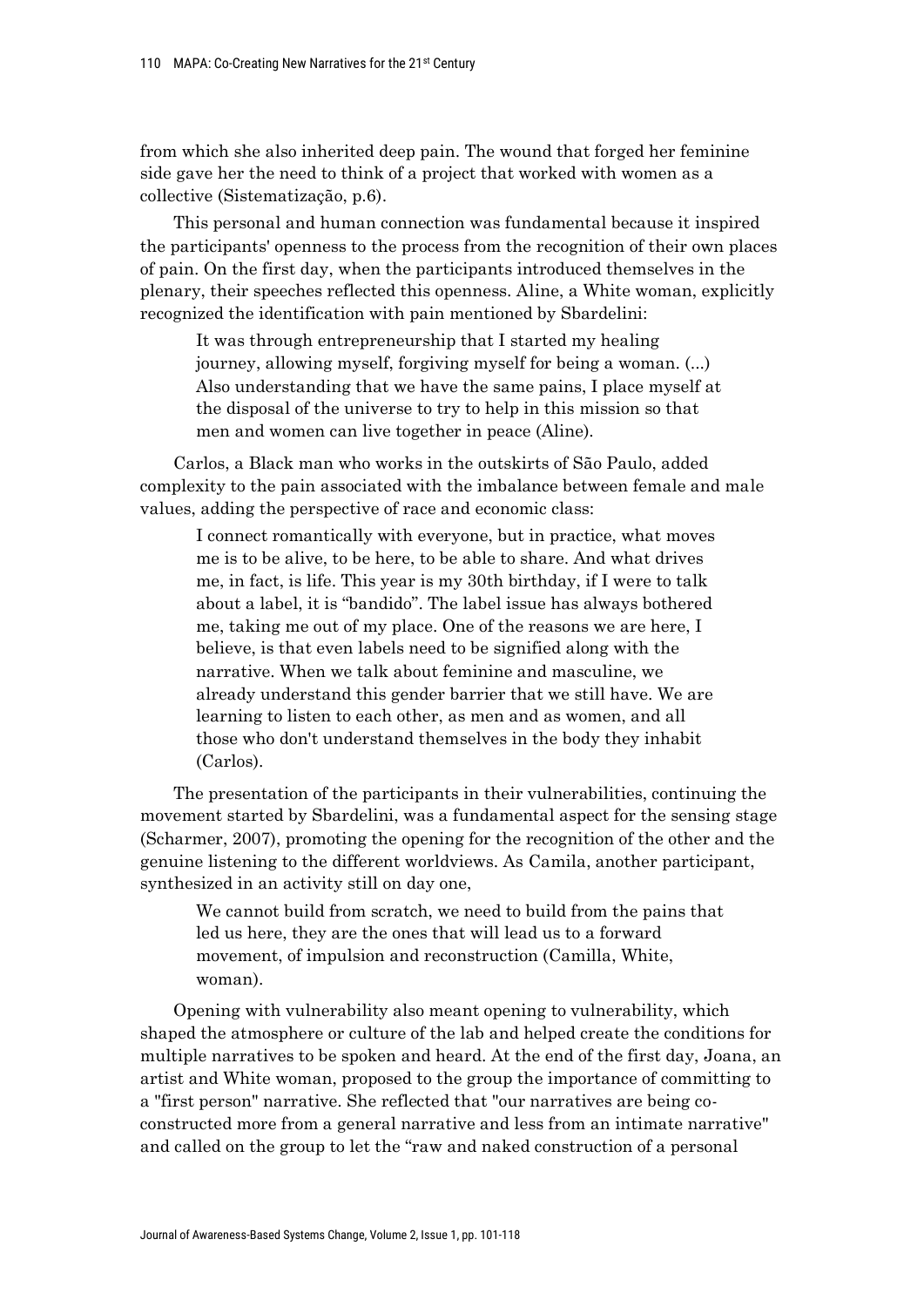from which she also inherited deep pain. The wound that forged her feminine side gave her the need to think of a project that worked with women as a collective (Sistematização, p.6).

This personal and human connection was fundamental because it inspired the participants' openness to the process from the recognition of their own places of pain. On the first day, when the participants introduced themselves in the plenary, their speeches reflected this openness. Aline, a White woman, explicitly recognized the identification with pain mentioned by Sbardelini:

It was through entrepreneurship that I started my healing journey, allowing myself, forgiving myself for being a woman. (...) Also understanding that we have the same pains, I place myself at the disposal of the universe to try to help in this mission so that men and women can live together in peace (Aline).

Carlos, a Black man who works in the outskirts of São Paulo, added complexity to the pain associated with the imbalance between female and male values, adding the perspective of race and economic class:

I connect romantically with everyone, but in practice, what moves me is to be alive, to be here, to be able to share. And what drives me, in fact, is life. This year is my 30th birthday, if I were to talk about a label, it is "bandido". The label issue has always bothered me, taking me out of my place. One of the reasons we are here, I believe, is that even labels need to be signified along with the narrative. When we talk about feminine and masculine, we already understand this gender barrier that we still have. We are learning to listen to each other, as men and as women, and all those who don't understand themselves in the body they inhabit (Carlos).

The presentation of the participants in their vulnerabilities, continuing the movement started by Sbardelini, was a fundamental aspect for the sensing stage (Scharmer, 2007), promoting the opening for the recognition of the other and the genuine listening to the different worldviews. As Camila, another participant, synthesized in an activity still on day one,

We cannot build from scratch, we need to build from the pains that led us here, they are the ones that will lead us to a forward movement, of impulsion and reconstruction (Camilla, White, woman).

Opening with vulnerability also meant opening to vulnerability, which shaped the atmosphere or culture of the lab and helped create the conditions for multiple narratives to be spoken and heard. At the end of the first day, Joana, an artist and White woman, proposed to the group the importance of committing to a "first person" narrative. She reflected that "our narratives are being coconstructed more from a general narrative and less from an intimate narrative" and called on the group to let the "raw and naked construction of a personal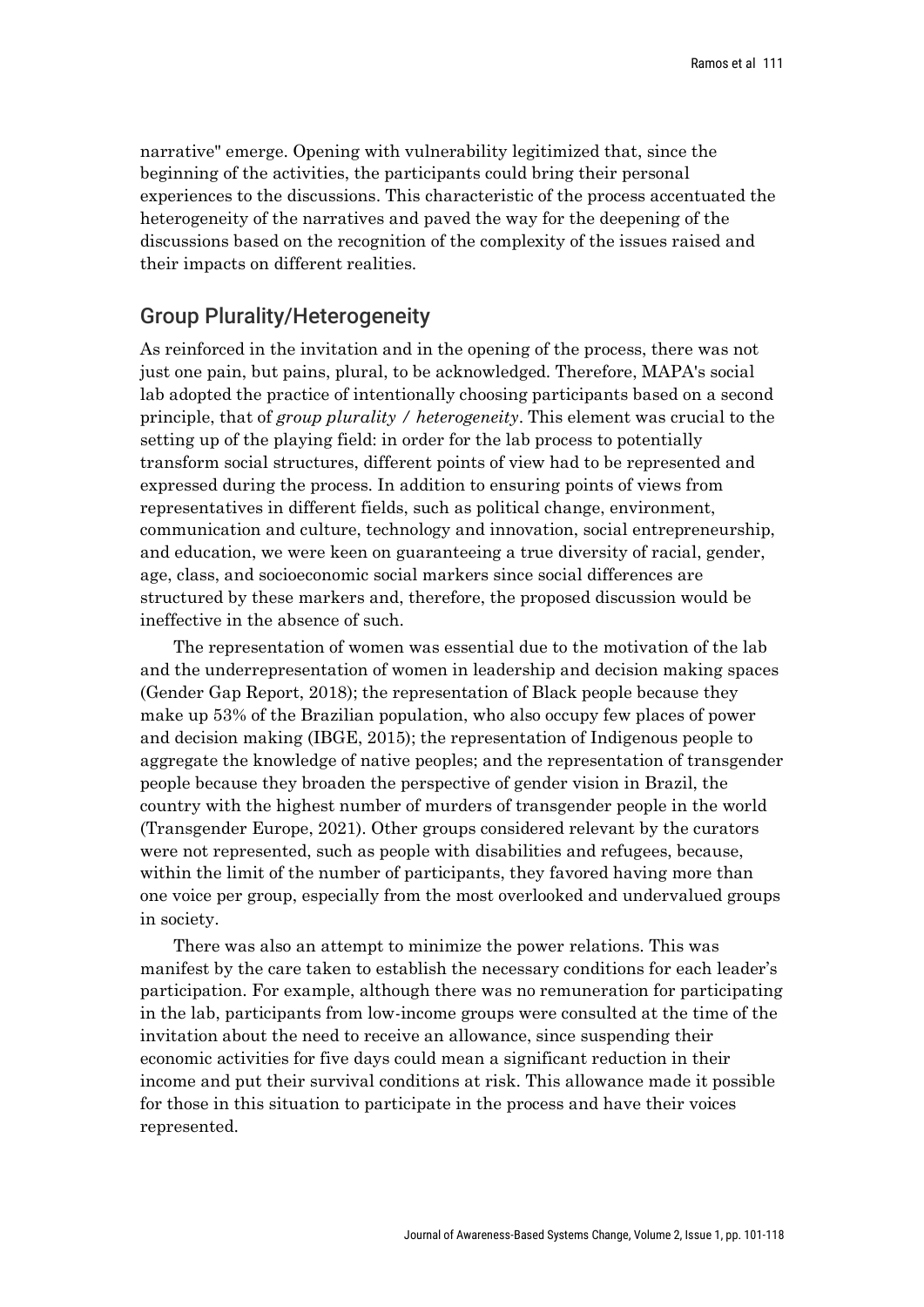narrative" emerge. Opening with vulnerability legitimized that, since the beginning of the activities, the participants could bring their personal experiences to the discussions. This characteristic of the process accentuated the heterogeneity of the narratives and paved the way for the deepening of the discussions based on the recognition of the complexity of the issues raised and their impacts on different realities.

### Group Plurality/Heterogeneity

As reinforced in the invitation and in the opening of the process, there was not just one pain, but pains, plural, to be acknowledged. Therefore, MAPA's social lab adopted the practice of intentionally choosing participants based on a second principle, that of *group plurality / heterogeneity*. This element was crucial to the setting up of the playing field: in order for the lab process to potentially transform social structures, different points of view had to be represented and expressed during the process. In addition to ensuring points of views from representatives in different fields, such as political change, environment, communication and culture, technology and innovation, social entrepreneurship, and education, we were keen on guaranteeing a true diversity of racial, gender, age, class, and socioeconomic social markers since social differences are structured by these markers and, therefore, the proposed discussion would be ineffective in the absence of such.

The representation of women was essential due to the motivation of the lab and the underrepresentation of women in leadership and decision making spaces (Gender Gap Report, 2018); the representation of Black people because they make up 53% of the Brazilian population, who also occupy few places of power and decision making (IBGE, 2015); the representation of Indigenous people to aggregate the knowledge of native peoples; and the representation of transgender people because they broaden the perspective of gender vision in Brazil, the country with the highest number of murders of transgender people in the world (Transgender Europe, 2021). Other groups considered relevant by the curators were not represented, such as people with disabilities and refugees, because, within the limit of the number of participants, they favored having more than one voice per group, especially from the most overlooked and undervalued groups in society.

There was also an attempt to minimize the power relations. This was manifest by the care taken to establish the necessary conditions for each leader's participation. For example, although there was no remuneration for participating in the lab, participants from low-income groups were consulted at the time of the invitation about the need to receive an allowance, since suspending their economic activities for five days could mean a significant reduction in their income and put their survival conditions at risk. This allowance made it possible for those in this situation to participate in the process and have their voices represented.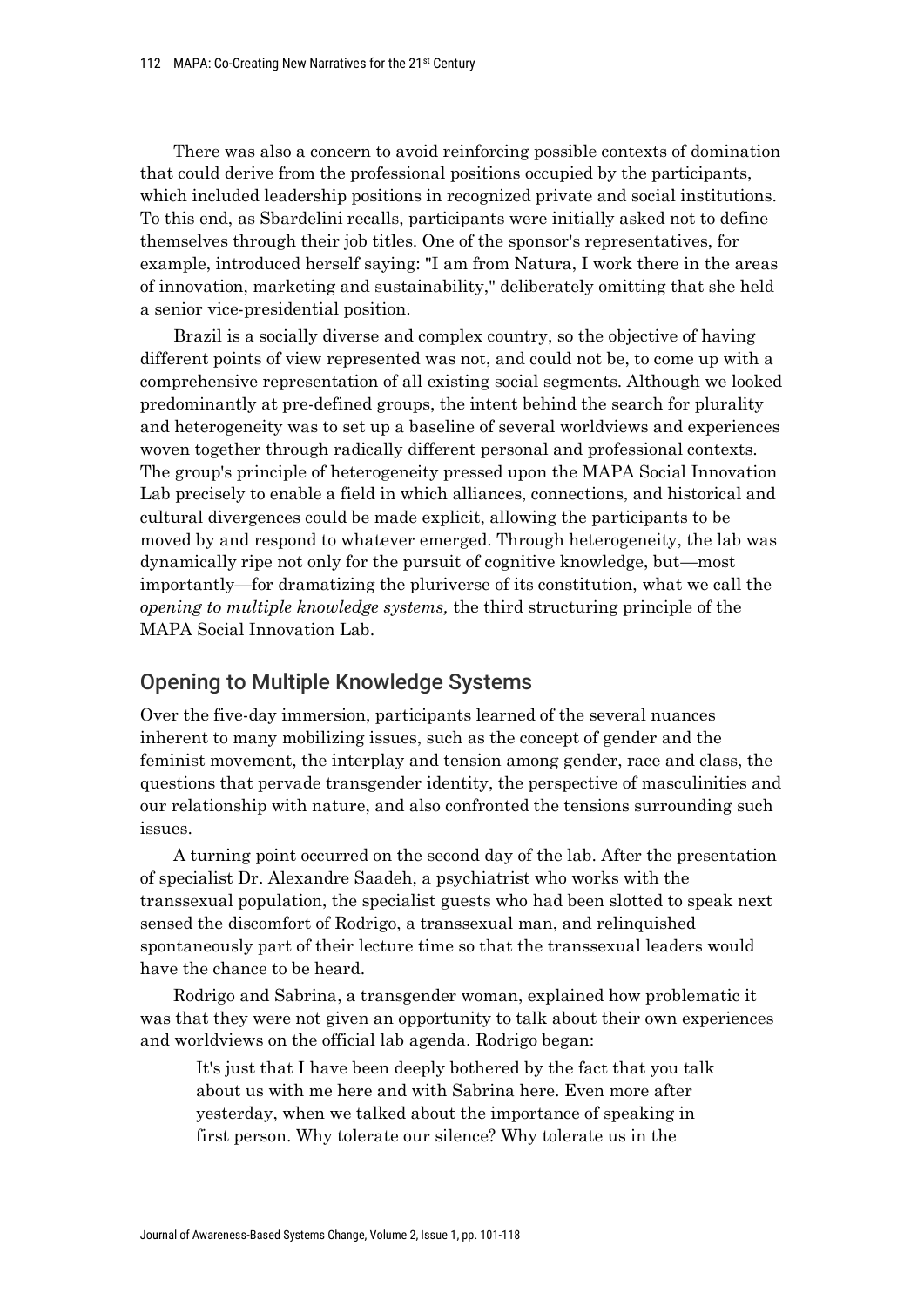There was also a concern to avoid reinforcing possible contexts of domination that could derive from the professional positions occupied by the participants, which included leadership positions in recognized private and social institutions. To this end, as Sbardelini recalls, participants were initially asked not to define themselves through their job titles. One of the sponsor's representatives, for example, introduced herself saying: "I am from Natura, I work there in the areas of innovation, marketing and sustainability," deliberately omitting that she held a senior vice-presidential position.

Brazil is a socially diverse and complex country, so the objective of having different points of view represented was not, and could not be, to come up with a comprehensive representation of all existing social segments. Although we looked predominantly at pre-defined groups, the intent behind the search for plurality and heterogeneity was to set up a baseline of several worldviews and experiences woven together through radically different personal and professional contexts. The group's principle of heterogeneity pressed upon the MAPA Social Innovation Lab precisely to enable a field in which alliances, connections, and historical and cultural divergences could be made explicit, allowing the participants to be moved by and respond to whatever emerged. Through heterogeneity, the lab was dynamically ripe not only for the pursuit of cognitive knowledge, but—most importantly—for dramatizing the pluriverse of its constitution, what we call the *opening to multiple knowledge systems,* the third structuring principle of the MAPA Social Innovation Lab.

#### Opening to Multiple Knowledge Systems

Over the five-day immersion, participants learned of the several nuances inherent to many mobilizing issues, such as the concept of gender and the feminist movement, the interplay and tension among gender, race and class, the questions that pervade transgender identity, the perspective of masculinities and our relationship with nature, and also confronted the tensions surrounding such issues.

A turning point occurred on the second day of the lab. After the presentation of specialist Dr. Alexandre Saadeh, a psychiatrist who works with the transsexual population, the specialist guests who had been slotted to speak next sensed the discomfort of Rodrigo, a transsexual man, and relinquished spontaneously part of their lecture time so that the transsexual leaders would have the chance to be heard.

Rodrigo and Sabrina, a transgender woman, explained how problematic it was that they were not given an opportunity to talk about their own experiences and worldviews on the official lab agenda. Rodrigo began:

It's just that I have been deeply bothered by the fact that you talk about us with me here and with Sabrina here. Even more after yesterday, when we talked about the importance of speaking in first person. Why tolerate our silence? Why tolerate us in the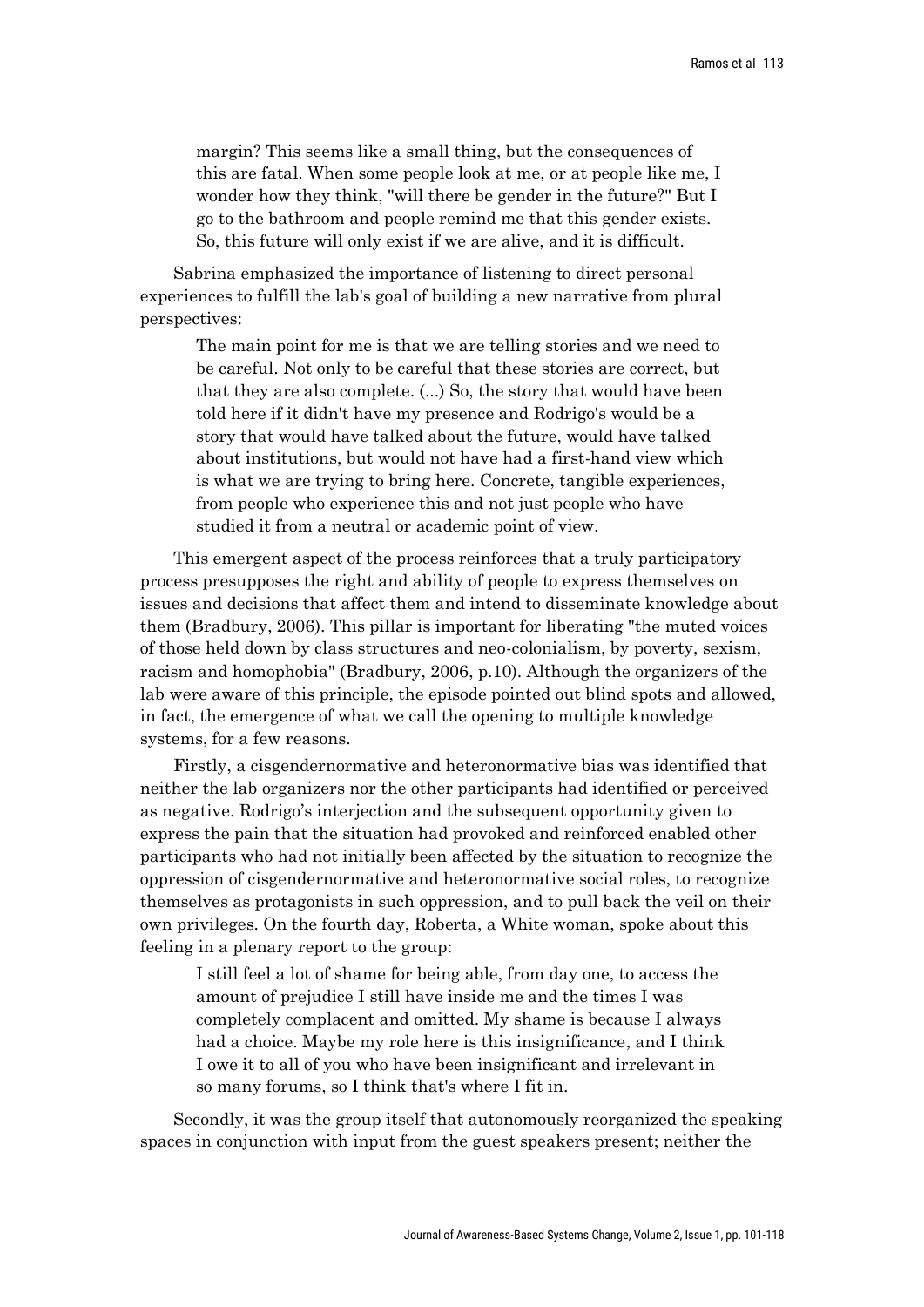margin? This seems like a small thing, but the consequences of this are fatal. When some people look at me, or at people like me, I wonder how they think, "will there be gender in the future?" But I go to the bathroom and people remind me that this gender exists. So, this future will only exist if we are alive, and it is difficult.

Sabrina emphasized the importance of listening to direct personal experiences to fulfill the lab's goal of building a new narrative from plural perspectives:

The main point for me is that we are telling stories and we need to be careful. Not only to be careful that these stories are correct, but that they are also complete. (...) So, the story that would have been told here if it didn't have my presence and Rodrigo's would be a story that would have talked about the future, would have talked about institutions, but would not have had a first-hand view which is what we are trying to bring here. Concrete, tangible experiences, from people who experience this and not just people who have studied it from a neutral or academic point of view.

This emergent aspect of the process reinforces that a truly participatory process presupposes the right and ability of people to express themselves on issues and decisions that affect them and intend to disseminate knowledge about them (Bradbury, 2006). This pillar is important for liberating "the muted voices of those held down by class structures and neo-colonialism, by poverty, sexism, racism and homophobia" (Bradbury, 2006, p.10). Although the organizers of the lab were aware of this principle, the episode pointed out blind spots and allowed, in fact, the emergence of what we call the opening to multiple knowledge systems, for a few reasons.

Firstly, a cisgendernormative and heteronormative bias was identified that neither the lab organizers nor the other participants had identified or perceived as negative. Rodrigo's interjection and the subsequent opportunity given to express the pain that the situation had provoked and reinforced enabled other participants who had not initially been affected by the situation to recognize the oppression of cisgendernormative and heteronormative social roles, to recognize themselves as protagonists in such oppression, and to pull back the veil on their own privileges. On the fourth day, Roberta, a White woman, spoke about this feeling in a plenary report to the group:

I still feel a lot of shame for being able, from day one, to access the amount of prejudice I still have inside me and the times I was completely complacent and omitted. My shame is because I always had a choice. Maybe my role here is this insignificance, and I think I owe it to all of you who have been insignificant and irrelevant in so many forums, so I think that's where I fit in.

Secondly, it was the group itself that autonomously reorganized the speaking spaces in conjunction with input from the guest speakers present; neither the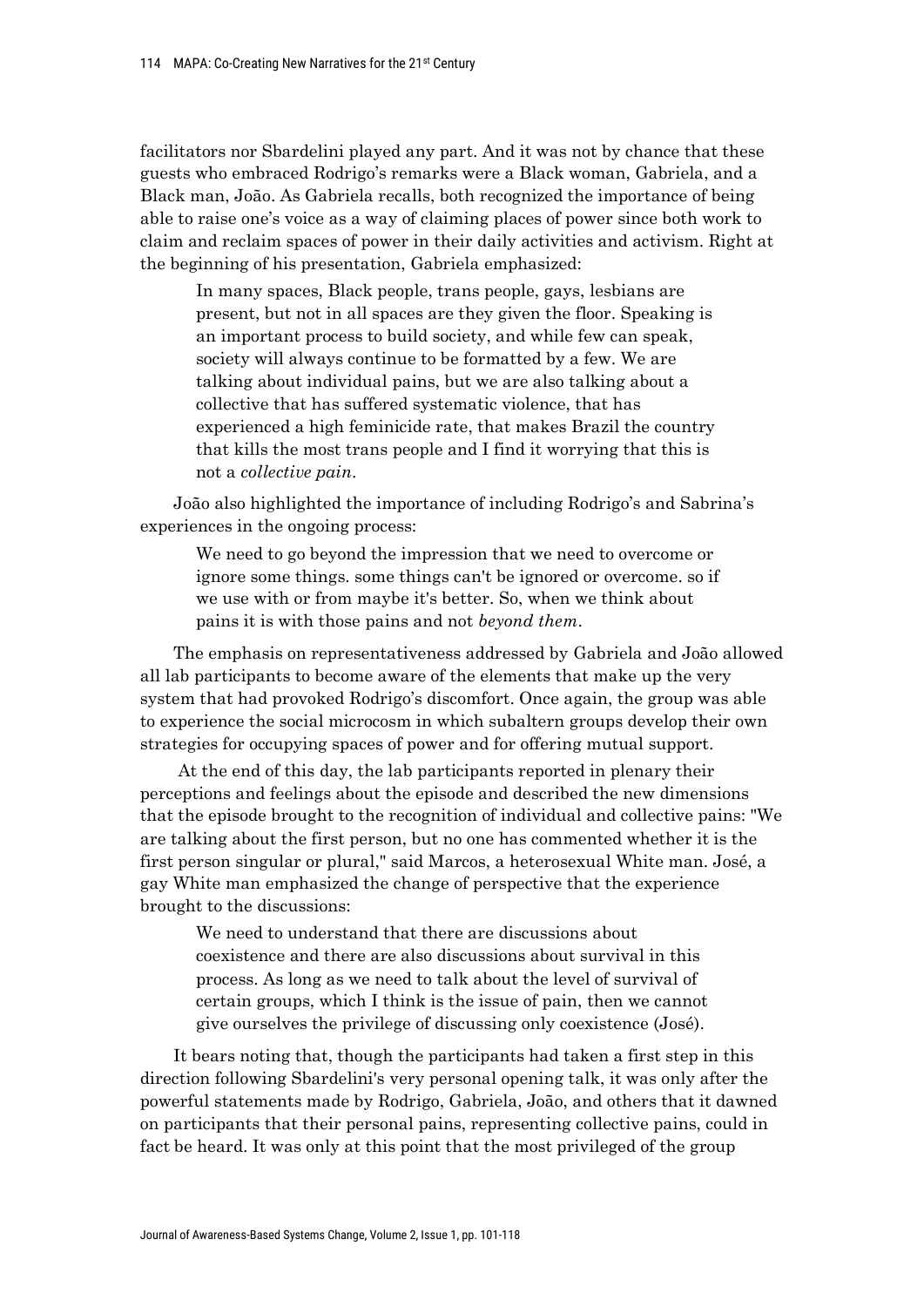facilitators nor Sbardelini played any part. And it was not by chance that these guests who embraced Rodrigo's remarks were a Black woman, Gabriela, and a Black man, João. As Gabriela recalls, both recognized the importance of being able to raise one's voice as a way of claiming places of power since both work to claim and reclaim spaces of power in their daily activities and activism. Right at the beginning of his presentation, Gabriela emphasized:

In many spaces, Black people, trans people, gays, lesbians are present, but not in all spaces are they given the floor. Speaking is an important process to build society, and while few can speak, society will always continue to be formatted by a few. We are talking about individual pains, but we are also talking about a collective that has suffered systematic violence, that has experienced a high feminicide rate, that makes Brazil the country that kills the most trans people and I find it worrying that this is not a *collective pain*.

João also highlighted the importance of including Rodrigo's and Sabrina's experiences in the ongoing process:

We need to go beyond the impression that we need to overcome or ignore some things. some things can't be ignored or overcome. so if we use with or from maybe it's better. So, when we think about pains it is with those pains and not *beyond them*.

The emphasis on representativeness addressed by Gabriela and João allowed all lab participants to become aware of the elements that make up the very system that had provoked Rodrigo's discomfort. Once again, the group was able to experience the social microcosm in which subaltern groups develop their own strategies for occupying spaces of power and for offering mutual support.

At the end of this day, the lab participants reported in plenary their perceptions and feelings about the episode and described the new dimensions that the episode brought to the recognition of individual and collective pains: "We are talking about the first person, but no one has commented whether it is the first person singular or plural," said Marcos, a heterosexual White man. José, a gay White man emphasized the change of perspective that the experience brought to the discussions:

We need to understand that there are discussions about coexistence and there are also discussions about survival in this process. As long as we need to talk about the level of survival of certain groups, which I think is the issue of pain, then we cannot give ourselves the privilege of discussing only coexistence (José).

It bears noting that, though the participants had taken a first step in this direction following Sbardelini's very personal opening talk, it was only after the powerful statements made by Rodrigo, Gabriela, João, and others that it dawned on participants that their personal pains, representing collective pains, could in fact be heard. It was only at this point that the most privileged of the group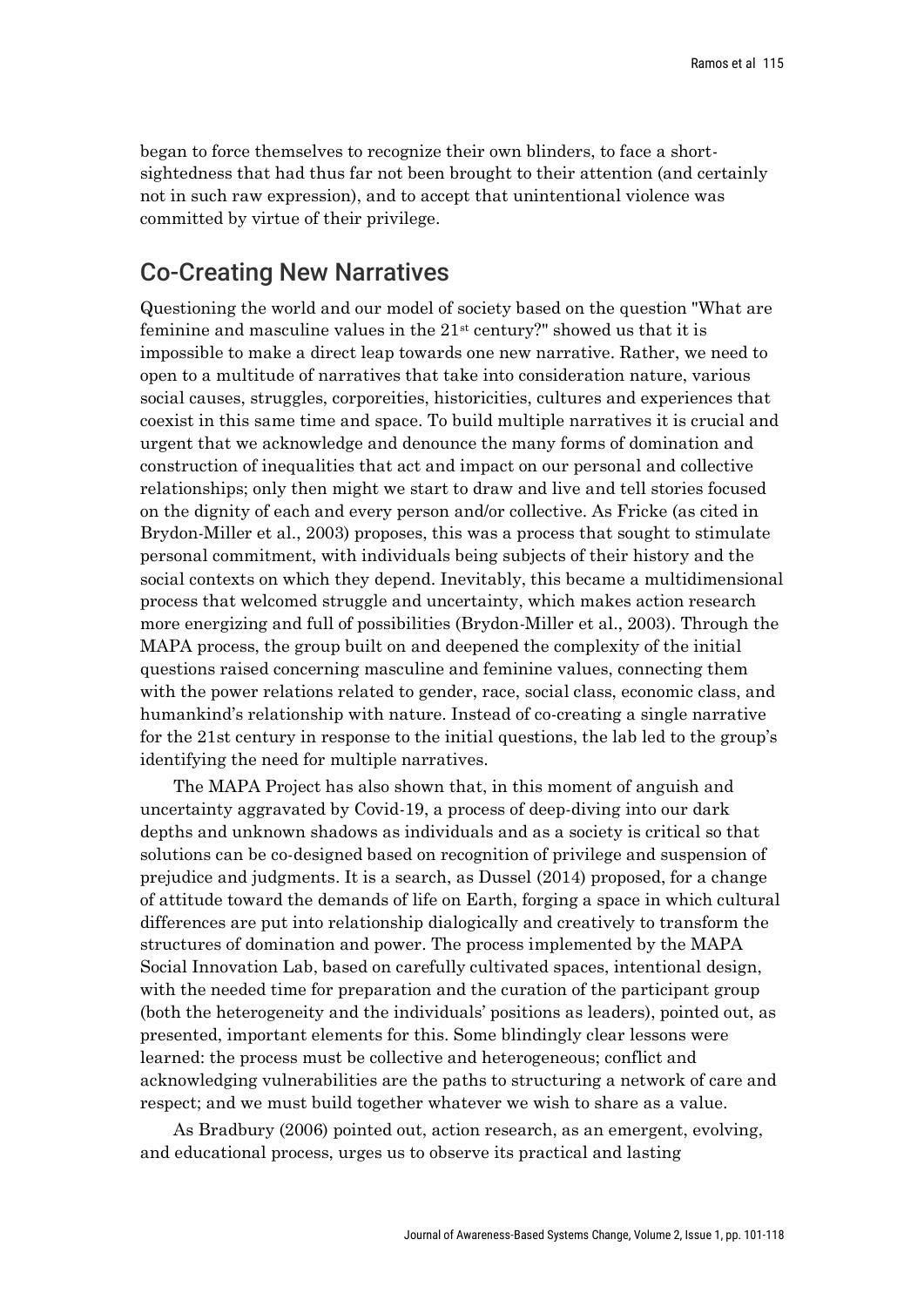began to force themselves to recognize their own blinders, to face a shortsightedness that had thus far not been brought to their attention (and certainly not in such raw expression), and to accept that unintentional violence was committed by virtue of their privilege.

## Co-Creating New Narratives

Questioning the world and our model of society based on the question "What are feminine and masculine values in the  $21<sup>st</sup>$  century?" showed us that it is impossible to make a direct leap towards one new narrative. Rather, we need to open to a multitude of narratives that take into consideration nature, various social causes, struggles, corporeities, historicities, cultures and experiences that coexist in this same time and space. To build multiple narratives it is crucial and urgent that we acknowledge and denounce the many forms of domination and construction of inequalities that act and impact on our personal and collective relationships; only then might we start to draw and live and tell stories focused on the dignity of each and every person and/or collective. As Fricke (as cited in Brydon-Miller et al., 2003) proposes, this was a process that sought to stimulate personal commitment, with individuals being subjects of their history and the social contexts on which they depend. Inevitably, this became a multidimensional process that welcomed struggle and uncertainty, which makes action research more energizing and full of possibilities (Brydon-Miller et al., 2003). Through the MAPA process, the group built on and deepened the complexity of the initial questions raised concerning masculine and feminine values, connecting them with the power relations related to gender, race, social class, economic class, and humankind's relationship with nature. Instead of co-creating a single narrative for the 21st century in response to the initial questions, the lab led to the group's identifying the need for multiple narratives.

The MAPA Project has also shown that, in this moment of anguish and uncertainty aggravated by Covid-19, a process of deep-diving into our dark depths and unknown shadows as individuals and as a society is critical so that solutions can be co-designed based on recognition of privilege and suspension of prejudice and judgments. It is a search, as Dussel (2014) proposed, for a change of attitude toward the demands of life on Earth, forging a space in which cultural differences are put into relationship dialogically and creatively to transform the structures of domination and power. The process implemented by the MAPA Social Innovation Lab, based on carefully cultivated spaces, intentional design, with the needed time for preparation and the curation of the participant group (both the heterogeneity and the individuals' positions as leaders), pointed out, as presented, important elements for this. Some blindingly clear lessons were learned: the process must be collective and heterogeneous; conflict and acknowledging vulnerabilities are the paths to structuring a network of care and respect; and we must build together whatever we wish to share as a value.

As Bradbury (2006) pointed out, action research, as an emergent, evolving, and educational process, urges us to observe its practical and lasting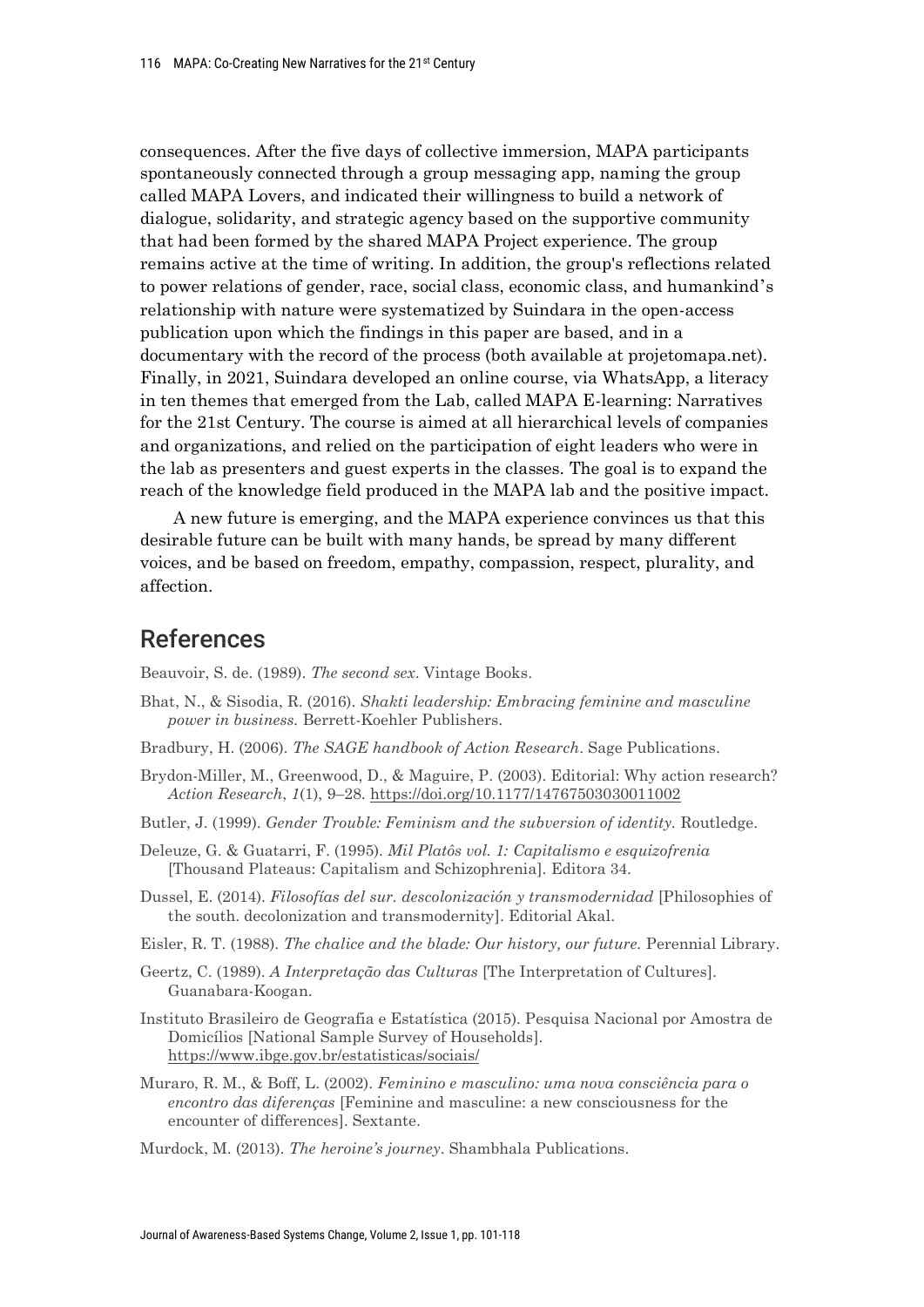consequences. After the five days of collective immersion, MAPA participants spontaneously connected through a group messaging app, naming the group called MAPA Lovers, and indicated their willingness to build a network of dialogue, solidarity, and strategic agency based on the supportive community that had been formed by the shared MAPA Project experience. The group remains active at the time of writing. In addition, the group's reflections related to power relations of gender, race, social class, economic class, and humankind's relationship with nature were systematized by Suindara in the open-access publication upon which the findings in this paper are based, and in a documentary with the record of the process (both available at projetomapa.net). Finally, in 2021, Suindara developed an online course, via WhatsApp, a literacy in ten themes that emerged from the Lab, called MAPA E-learning: Narratives for the 21st Century. The course is aimed at all hierarchical levels of companies and organizations, and relied on the participation of eight leaders who were in the lab as presenters and guest experts in the classes. The goal is to expand the reach of the knowledge field produced in the MAPA lab and the positive impact.

A new future is emerging, and the MAPA experience convinces us that this desirable future can be built with many hands, be spread by many different voices, and be based on freedom, empathy, compassion, respect, plurality, and affection.

## References

Beauvoir, S. de. (1989). *The second sex*. Vintage Books.

- Bhat, N., & Sisodia, R. (2016). *Shakti leadership: Embracing feminine and masculine power in business.* Berrett-Koehler Publishers.
- Bradbury, H. (2006). *The SAGE handbook of Action Research*. Sage Publications.
- Brydon-Miller, M., Greenwood, D., & Maguire, P. (2003). Editorial: Why action research? *Action Research*, *1*(1), 9–28. https://doi.org/10.1177/14767503030011002
- Butler, J. (1999). *Gender Trouble: Feminism and the subversion of identity.* Routledge.
- Deleuze, G. & Guatarri, F. (1995). *Mil Platôs vol. 1: Capitalismo e esquizofrenia*  [Thousand Plateaus: Capitalism and Schizophrenia]. Editora 34.
- Dussel, E. (2014). *Filosofías del sur. descolonización y transmodernidad* [Philosophies of the south. decolonization and transmodernity]. Editorial Akal.
- Eisler, R. T. (1988). *The chalice and the blade: Our history, our future.* Perennial Library.
- Geertz, C. (1989). *A Interpretação das Culturas* [The Interpretation of Cultures]. Guanabara-Koogan.
- Instituto Brasileiro de Geografia e Estatística (2015). Pesquisa Nacional por Amostra de Domicílios [National Sample Survey of Households]. https://www.ibge.gov.br/estatisticas/sociais/
- Muraro, R. M., & Boff, L. (2002). *Feminino e masculino: uma nova consciência para o encontro das diferenças* [Feminine and masculine: a new consciousness for the encounter of differences]. Sextante.
- Murdock, M. (2013). *The heroine's journey*. Shambhala Publications.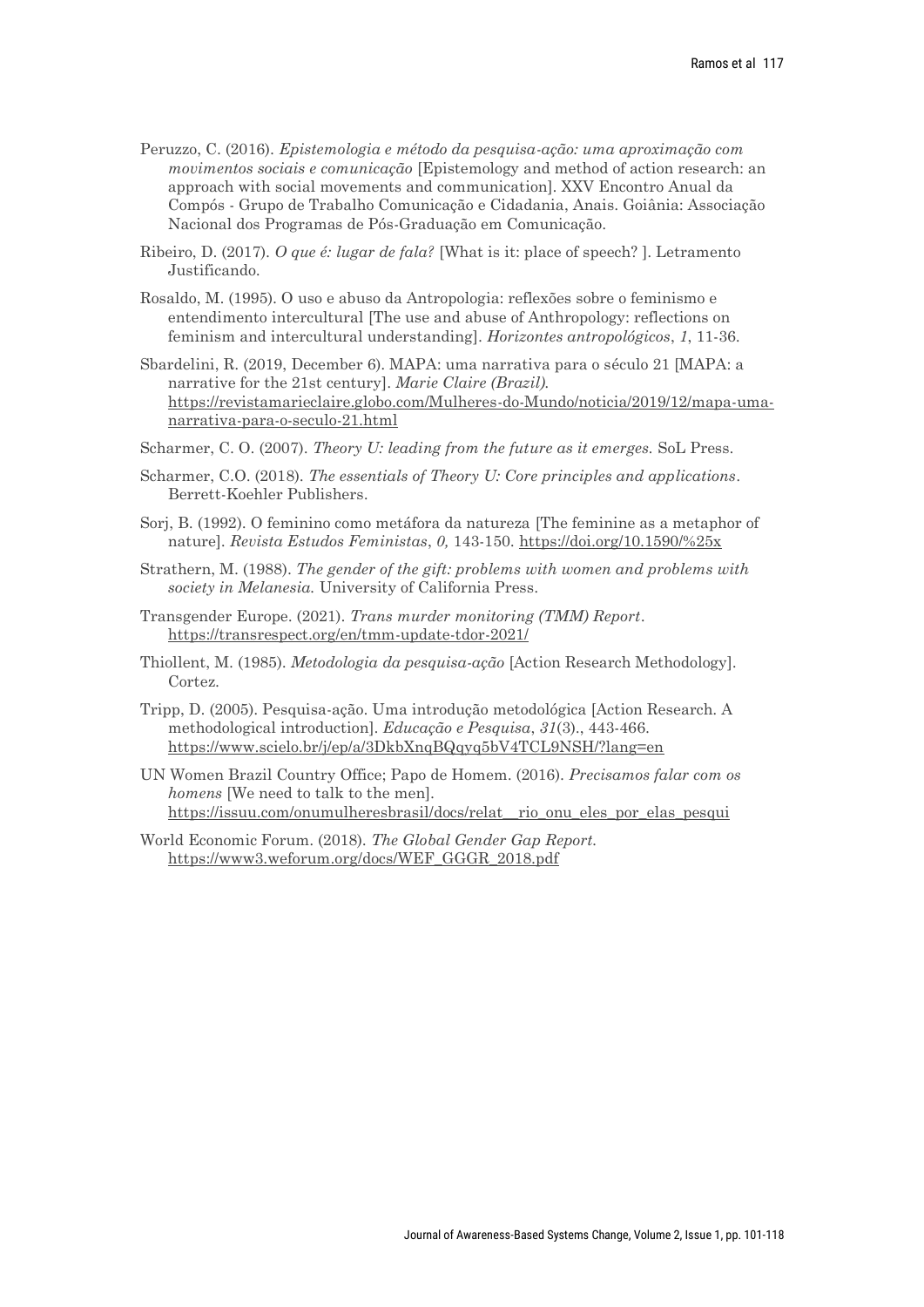- Peruzzo, C. (2016). *Epistemologia e método da pesquisa-ação: uma aproximação com movimentos sociais e comunicação* [Epistemology and method of action research: an approach with social movements and communication]. XXV Encontro Anual da Compós - Grupo de Trabalho Comunicação e Cidadania, Anais. Goiânia: Associação Nacional dos Programas de Pós-Graduação em Comunicação.
- Ribeiro, D. (2017). *O que é: lugar de fala?* [What is it: place of speech? ]. Letramento Justificando.
- Rosaldo, M. (1995). O uso e abuso da Antropologia: reflexões sobre o feminismo e entendimento intercultural [The use and abuse of Anthropology: reflections on feminism and intercultural understanding]. *Horizontes antropológicos*, *1*, 11-36.
- Sbardelini, R. (2019, December 6). MAPA: uma narrativa para o século 21 [MAPA: a narrative for the 21st century]. *Marie Claire (Brazil).*  https://revistamarieclaire.globo.com/Mulheres-do-Mundo/noticia/2019/12/mapa-umanarrativa-para-o-seculo-21.html
- Scharmer, C. O. (2007). *Theory U: leading from the future as it emerges.* SoL Press.
- Scharmer, C.O. (2018). *The essentials of Theory U: Core principles and applications*. Berrett-Koehler Publishers.
- Sorj, B. (1992). O feminino como metáfora da natureza [The feminine as a metaphor of nature]. *Revista Estudos Feministas*, *0,* 143-150. https://doi.org/10.1590/%25x
- Strathern, M. (1988). *The gender of the gift: problems with women and problems with society in Melanesia.* University of California Press.
- Transgender Europe. (2021). *Trans murder monitoring (TMM) Report*. https://transrespect.org/en/tmm-update-tdor-2021/
- Thiollent, M. (1985). *Metodologia da pesquisa-ação* [Action Research Methodology]. Cortez.
- Tripp, D. (2005). Pesquisa-ação. Uma introdução metodológica [Action Research. A methodological introduction]. *Educação e Pesquisa*, *31*(3)., 443-466. https://www.scielo.br/j/ep/a/3DkbXnqBQqyq5bV4TCL9NSH/?lang=en
- UN Women Brazil Country Office; Papo de Homem. (2016). *Precisamos falar com os homens* [We need to talk to the men]. https://issuu.com/onumulheresbrasil/docs/relat\_\_rio\_onu\_eles\_por\_elas\_pesqui
- World Economic Forum. (2018). *The Global Gender Gap Report.* https://www3.weforum.org/docs/WEF\_GGGR\_2018.pdf